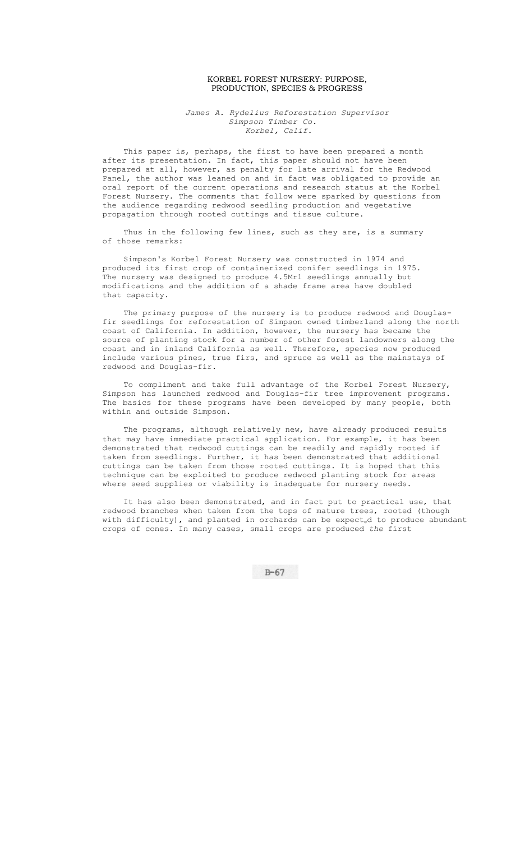## KORBEL FOREST NURSERY: PURPOSE, PRODUCTION, SPECIES & PROGRESS

*James A. Rydelius Reforestation Supervisor Simpson Timber Co. Korbel, Calif.* 

This paper is, perhaps, the first to have been prepared a month after its presentation. In fact, this paper should not have been prepared at all, however, as penalty for late arrival for the Redwood Panel, the author was leaned on and in fact was obligated to provide an oral report of the current operations and research status at the Korbel Forest Nursery. The comments that follow were sparked by questions from the audience regarding redwood seedling production and vegetative propagation through rooted cuttings and tissue culture.

Thus in the following few lines, such as they are, is a summary of those remarks:

Simpson's Korbel Forest Nursery was constructed in 1974 and produced its first crop of containerized conifer seedlings in 1975. The nursery was designed to produce 4.5Mr1 seedlings annually but modifications and the addition of a shade frame area have doubled that capacity.

The primary purpose of the nursery is to produce redwood and Douglasfir seedlings for reforestation of Simpson owned timberland along the north coast of California. In addition, however, the nursery has became the source of planting stock for a number of other forest landowners along the coast and in inland California as well. Therefore, species now produced include various pines, true firs, and spruce as well as the mainstays of redwood and Douglas-fir.

To compliment and take full advantage of the Korbel Forest Nursery, Simpson has launched redwood and Douglas-fir tree improvement programs. The basics for these programs have been developed by many people, both within and outside Simpson.

The programs, although relatively new, have already produced results that may have immediate practical application. For example, it has been demonstrated that redwood cuttings can be readily and rapidly rooted if taken from seedlings. Further, it has been demonstrated that additional cuttings can be taken from those rooted cuttings. It is hoped that this technique can be exploited to produce redwood planting stock for areas where seed supplies or viability is inadequate for nursery needs.

It has also been demonstrated, and in fact put to practical use, that redwood branches when taken from the tops of mature trees, rooted (though with difficulty), and planted in orchards can be  $\text{expect}_{\text{e}}$ d to produce abundant crops of cones. In many cases, small crops are produced *the* first

 $B-67$